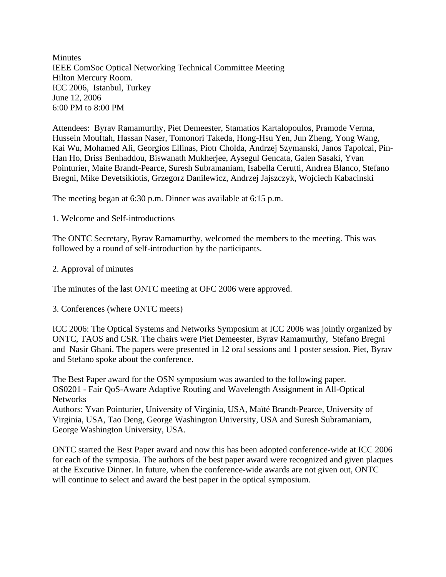**Minutes** IEEE ComSoc Optical Networking Technical Committee Meeting Hilton Mercury Room. ICC 2006, Istanbul, Turkey June 12, 2006 6:00 PM to 8:00 PM

Attendees: Byrav Ramamurthy, Piet Demeester, Stamatios Kartalopoulos, Pramode Verma, Hussein Mouftah, Hassan Naser, Tomonori Takeda, Hong-Hsu Yen, Jun Zheng, Yong Wang, Kai Wu, Mohamed Ali, Georgios Ellinas, Piotr Cholda, Andrzej Szymanski, Janos Tapolcai, Pin-Han Ho, Driss Benhaddou, Biswanath Mukherjee, Aysegul Gencata, Galen Sasaki, Yvan Pointurier, Maite Brandt-Pearce, Suresh Subramaniam, Isabella Cerutti, Andrea Blanco, Stefano Bregni, Mike Devetsikiotis, Grzegorz Danilewicz, Andrzej Jajszczyk, Wojciech Kabacinski

The meeting began at 6:30 p.m. Dinner was available at 6:15 p.m.

1. Welcome and Self-introductions

The ONTC Secretary, Byrav Ramamurthy, welcomed the members to the meeting. This was followed by a round of self-introduction by the participants.

2. Approval of minutes

The minutes of the last ONTC meeting at OFC 2006 were approved.

3. Conferences (where ONTC meets)

ICC 2006: The Optical Systems and Networks Symposium at ICC 2006 was jointly organized by ONTC, TAOS and CSR. The chairs were Piet Demeester, Byrav Ramamurthy, Stefano Bregni and Nasir Ghani. The papers were presented in 12 oral sessions and 1 poster session. Piet, Byrav and Stefano spoke about the conference.

The Best Paper award for the OSN symposium was awarded to the following paper. OS0201 - Fair QoS-Aware Adaptive Routing and Wavelength Assignment in All-Optical Networks

Authors: Yvan Pointurier, University of Virginia, USA, Maïté Brandt-Pearce, University of Virginia, USA, Tao Deng, George Washington University, USA and Suresh Subramaniam, George Washington University, USA.

ONTC started the Best Paper award and now this has been adopted conference-wide at ICC 2006 for each of the symposia. The authors of the best paper award were recognized and given plaques at the Excutive Dinner. In future, when the conference-wide awards are not given out, ONTC will continue to select and award the best paper in the optical symposium.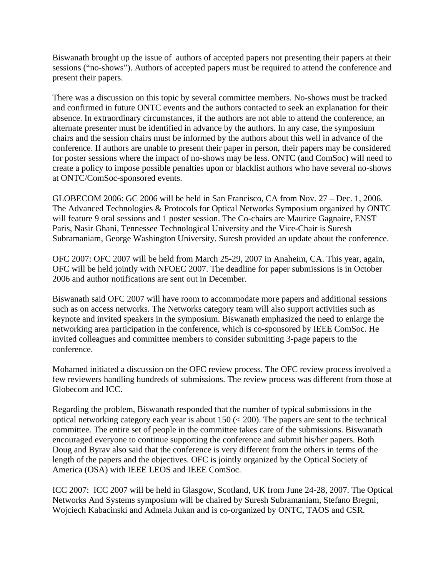Biswanath brought up the issue of authors of accepted papers not presenting their papers at their sessions ("no-shows"). Authors of accepted papers must be required to attend the conference and present their papers.

There was a discussion on this topic by several committee members. No-shows must be tracked and confirmed in future ONTC events and the authors contacted to seek an explanation for their absence. In extraordinary circumstances, if the authors are not able to attend the conference, an alternate presenter must be identified in advance by the authors. In any case, the symposium chairs and the session chairs must be informed by the authors about this well in advance of the conference. If authors are unable to present their paper in person, their papers may be considered for poster sessions where the impact of no-shows may be less. ONTC (and ComSoc) will need to create a policy to impose possible penalties upon or blacklist authors who have several no-shows at ONTC/ComSoc-sponsored events.

GLOBECOM 2006: GC 2006 will be held in San Francisco, CA from Nov. 27 – Dec. 1, 2006. The Advanced Technologies & Protocols for Optical Networks Symposium organized by ONTC will feature 9 oral sessions and 1 poster session. The Co-chairs are Maurice Gagnaire, ENST Paris, Nasir Ghani, Tennessee Technological University and the Vice-Chair is Suresh Subramaniam, George Washington University. Suresh provided an update about the conference.

OFC 2007: OFC 2007 will be held from March 25-29, 2007 in Anaheim, CA. This year, again, OFC will be held jointly with NFOEC 2007. The deadline for paper submissions is in October 2006 and author notifications are sent out in December.

Biswanath said OFC 2007 will have room to accommodate more papers and additional sessions such as on access networks. The Networks category team will also support activities such as keynote and invited speakers in the symposium. Biswanath emphasized the need to enlarge the networking area participation in the conference, which is co-sponsored by IEEE ComSoc. He invited colleagues and committee members to consider submitting 3-page papers to the conference.

Mohamed initiated a discussion on the OFC review process. The OFC review process involved a few reviewers handling hundreds of submissions. The review process was different from those at Globecom and ICC.

Regarding the problem, Biswanath responded that the number of typical submissions in the optical networking category each year is about  $150 \, (<\, 200$ ). The papers are sent to the technical committee. The entire set of people in the committee takes care of the submissions. Biswanath encouraged everyone to continue supporting the conference and submit his/her papers. Both Doug and Byrav also said that the conference is very different from the others in terms of the length of the papers and the objectives. OFC is jointly organized by the Optical Society of America (OSA) with IEEE LEOS and IEEE ComSoc.

ICC 2007: ICC 2007 will be held in Glasgow, Scotland, UK from June 24-28, 2007. The Optical Networks And Systems symposium will be chaired by Suresh Subramaniam, Stefano Bregni, Wojciech Kabacinski and Admela Jukan and is co-organized by ONTC, TAOS and CSR.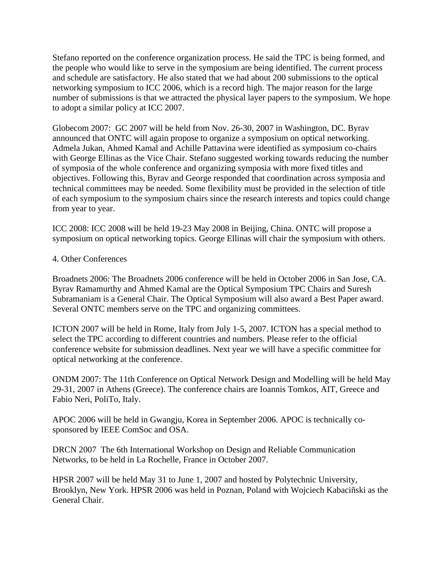Stefano reported on the conference organization process. He said the TPC is being formed, and the people who would like to serve in the symposium are being identified. The current process and schedule are satisfactory. He also stated that we had about 200 submissions to the optical networking symposium to ICC 2006, which is a record high. The major reason for the large number of submissions is that we attracted the physical layer papers to the symposium. We hope to adopt a similar policy at ICC 2007.

Globecom 2007: GC 2007 will be held from Nov. 26-30, 2007 in Washington, DC. Byrav announced that ONTC will again propose to organize a symposium on optical networking. Admela Jukan, Ahmed Kamal and Achille Pattavina were identified as symposium co-chairs with George Ellinas as the Vice Chair. Stefano suggested working towards reducing the number of symposia of the whole conference and organizing symposia with more fixed titles and objectives. Following this, Byrav and George responded that coordination across symposia and technical committees may be needed. Some flexibility must be provided in the selection of title of each symposium to the symposium chairs since the research interests and topics could change from year to year.

ICC 2008: ICC 2008 will be held 19-23 May 2008 in Beijing, China. ONTC will propose a symposium on optical networking topics. George Ellinas will chair the symposium with others.

## 4. Other Conferences

Broadnets 2006: The Broadnets 2006 conference will be held in October 2006 in San Jose, CA. Byrav Ramamurthy and Ahmed Kamal are the Optical Symposium TPC Chairs and Suresh Subramaniam is a General Chair. The Optical Symposium will also award a Best Paper award. Several ONTC members serve on the TPC and organizing committees.

ICTON 2007 will be held in Rome, Italy from July 1-5, 2007. ICTON has a special method to select the TPC according to different countries and numbers. Please refer to the official conference website for submission deadlines. Next year we will have a specific committee for optical networking at the conference.

ONDM 2007: The 11th Conference on Optical Network Design and Modelling will be held May 29-31, 2007 in Athens (Greece). The conference chairs are Ioannis Tomkos, AIT, Greece and Fabio Neri, PoliTo, Italy.

APOC 2006 will be held in Gwangju, Korea in September 2006. APOC is technically cosponsored by IEEE ComSoc and OSA.

DRCN 2007 The 6th International Workshop on Design and Reliable Communication Networks, to be held in La Rochelle, France in October 2007.

HPSR 2007 will be held May 31 to June 1, 2007 and hosted by Polytechnic University, Brooklyn, New York. HPSR 2006 was held in Poznan, Poland with Wojciech Kabaciñski as the General Chair.